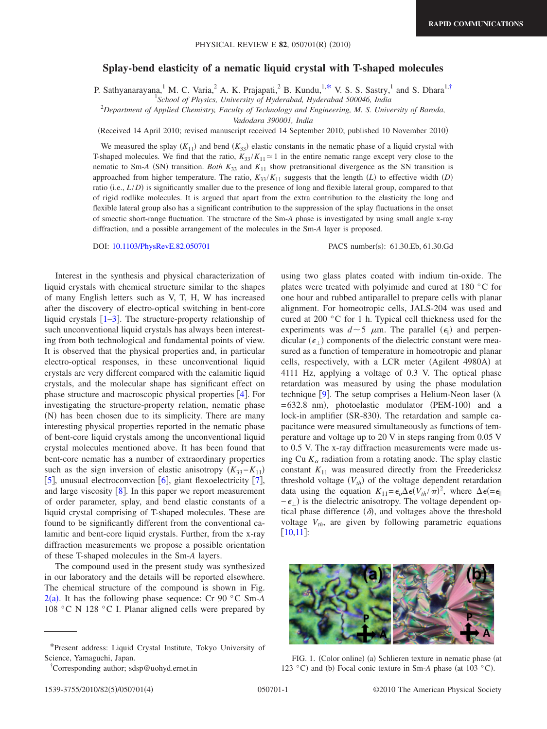## **Splay-bend elasticity of a nematic liquid crystal with T-shaped molecules**

P. Sathyanarayana,<sup>1</sup> M. C. Varia,<sup>2</sup> A. K. Prajapati,<sup>2</sup> B. Kundu,<sup>1[,\\*](#page-0-0)</sup> V. S. S. Sastry,<sup>1</sup> and S. Dhara<sup>1[,†](#page-0-1)</sup>

2 *Department of Applied Chemistry, Faculty of Technology and Engineering, M. S. University of Baroda,*

*Vadodara 390001, India*

Received 14 April 2010; revised manuscript received 14 September 2010; published 10 November 2010-

We measured the splay  $(K_{11})$  and bend  $(K_{33})$  elastic constants in the nematic phase of a liquid crystal with T-shaped molecules. We find that the ratio,  $K_{33}/K_{11} \approx 1$  in the entire nematic range except very close to the nematic to Sm-*A* (SN) transition. *Both*  $K_{33}$  and  $K_{11}$  show pretransitional divergence as the SN transition is approached from higher temperature. The ratio,  $K_{33}/K_{11}$  suggests that the length *(L)* to effective width *(D)* ratio (i.e., *L*/*D*) is significantly smaller due to the presence of long and flexible lateral group, compared to that of rigid rodlike molecules. It is argued that apart from the extra contribution to the elasticity the long and flexible lateral group also has a significant contribution to the suppression of the splay fluctuations in the onset of smectic short-range fluctuation. The structure of the Sm-*A* phase is investigated by using small angle x-ray diffraction, and a possible arrangement of the molecules in the Sm-*A* layer is proposed.

DOI: [10.1103/PhysRevE.82.050701](http://dx.doi.org/10.1103/PhysRevE.82.050701)

PACS number(s): 61.30.Eb, 61.30.Gd

Interest in the synthesis and physical characterization of liquid crystals with chemical structure similar to the shapes of many English letters such as V, T, H, W has increased after the discovery of electro-optical switching in bent-core liquid crystals  $\lceil 1-3 \rceil$  $\lceil 1-3 \rceil$  $\lceil 1-3 \rceil$ . The structure-property relationship of such unconventional liquid crystals has always been interesting from both technological and fundamental points of view. It is observed that the physical properties and, in particular electro-optical responses, in these unconventional liquid crystals are very different compared with the calamitic liquid crystals, and the molecular shape has significant effect on phase structure and macroscopic physical properties  $[4]$  $[4]$  $[4]$ . For investigating the structure-property relation, nematic phase (N) has been chosen due to its simplicity. There are many interesting physical properties reported in the nematic phase of bent-core liquid crystals among the unconventional liquid crystal molecules mentioned above. It has been found that bent-core nematic has a number of extraordinary properties such as the sign inversion of elastic anisotropy  $(K_{33}-K_{11})$ [[5](#page-3-3)], unusual electroconvection  $[6]$  $[6]$  $[6]$ , giant flexoelectricity [[7](#page-3-5)], and large viscosity  $\lceil 8 \rceil$  $\lceil 8 \rceil$  $\lceil 8 \rceil$ . In this paper we report measurement of order parameter, splay, and bend elastic constants of a liquid crystal comprising of T-shaped molecules. These are found to be significantly different from the conventional calamitic and bent-core liquid crystals. Further, from the x-ray diffraction measurements we propose a possible orientation of these T-shaped molecules in the Sm-*A* layers.

The compound used in the present study was synthesized in our laboratory and the details will be reported elsewhere. The chemical structure of the compound is shown in Fig.  $2(a)$  $2(a)$ . It has the following phase sequence: Cr 90 °C Sm-A 108 °C N 128 °C I. Planar aligned cells were prepared by using two glass plates coated with indium tin-oxide. The plates were treated with polyimide and cured at 180 °C for one hour and rubbed antiparallel to prepare cells with planar alignment. For homeotropic cells, JALS-204 was used and cured at 200 °C for 1 h. Typical cell thickness used for the experiments was  $d \sim 5$   $\mu$ m. The parallel ( $\epsilon_{\parallel}$ ) and perpendicular ( $\epsilon_{\perp}$ ) components of the dielectric constant were measured as a function of temperature in homeotropic and planar cells, respectively, with a LCR meter (Agilent 4980A) at 4111 Hz, applying a voltage of 0.3 V. The optical phase retardation was measured by using the phase modulation technique [[9](#page-3-7)]. The setup comprises a Helium-Neon laser ( $\lambda$ )  $=632.8$  nm), photoelastic modulator (PEM-100) and a lock-in amplifier (SR-830). The retardation and sample capacitance were measured simultaneously as functions of temperature and voltage up to 20 V in steps ranging from 0.05 V to 0.5 V. The x-ray diffraction measurements were made using Cu  $K_{\alpha}$  radiation from a rotating anode. The splay elastic constant  $K_{11}$  was measured directly from the Freedericksz threshold voltage  $(V_{th})$  of the voltage dependent retardation data using the equation  $K_{11} = \epsilon_o \Delta \epsilon (V_{th}/\pi)^2$ , where  $\Delta \epsilon (= \epsilon_0)$  $-\epsilon_{\perp}$ ) is the dielectric anisotropy. The voltage dependent optical phase difference  $(\delta)$ , and voltages above the threshold voltage  $V_{th}$ , are given by following parametric equations  $[10,11]$  $[10,11]$  $[10,11]$  $[10,11]$ :

<span id="page-0-2"></span>

FIG. 1. (Color online) (a) Schlieren texture in nematic phase (at 123 °C) and (b) Focal conic texture in Sm-A phase (at 103 °C).

<sup>1</sup> *School of Physics, University of Hyderabad, Hyderabad 500046, India*

<span id="page-0-0"></span><sup>\*</sup>Present address: Liquid Crystal Institute, Tokyo University of Science, Yamaguchi, Japan.

<span id="page-0-1"></span><sup>†</sup> Corresponding author; sdsp@uohyd.ernet.in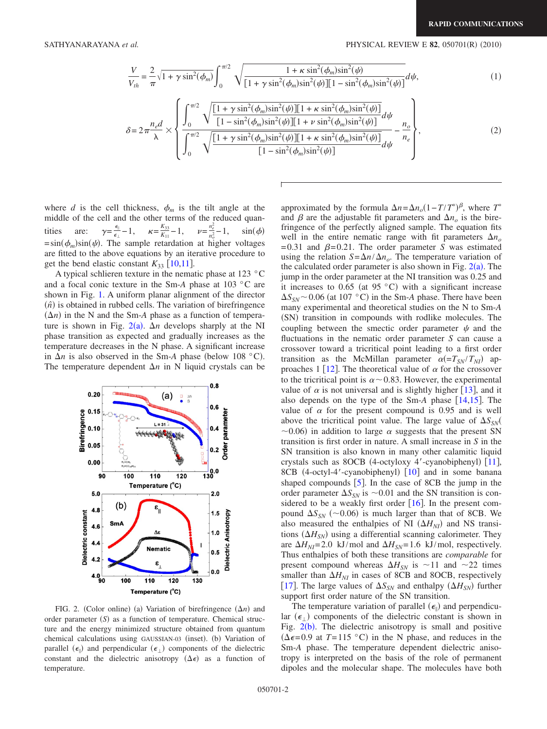<span id="page-1-2"></span><span id="page-1-1"></span>SATHYANARAYANA *et al.* 2010) **PHYSICAL REVIEW E 82**, 050701(R) (2010)

$$
\frac{V}{V_{th}} = \frac{2}{\pi} \sqrt{1 + \gamma \sin^2(\phi_m)} \int_0^{\pi/2} \sqrt{\frac{1 + \kappa \sin^2(\phi_m) \sin^2(\psi)}{[1 + \gamma \sin^2(\phi_m) \sin^2(\psi)][1 - \sin^2(\phi_m) \sin^2(\psi)]}} d\psi,
$$
\n(1)

$$
\delta = 2\pi \frac{n_e d}{\lambda} \times \left\{ \frac{\int_0^{\pi/2} \sqrt{\frac{[1 + \gamma \sin^2(\phi_m) \sin^2(\psi)][1 + \kappa \sin^2(\phi_m) \sin^2(\psi)]}{[1 - \sin^2(\phi_m) \sin^2(\psi)][1 + \nu \sin^2(\phi_m) \sin^2(\psi)]}}{\int_0^{\pi/2} \sqrt{\frac{[1 + \gamma \sin^2(\phi_m) \sin^2(\psi)][1 + \kappa \sin^2(\phi_m) \sin^2(\psi)]}{[1 - \sin^2(\phi_m) \sin^2(\psi)]}} d\psi} - \frac{n_e}{n_e} \right\},
$$
(2)

where *d* is the cell thickness,  $\phi_m$  is the tilt angle at the middle of the cell and the other terms of the reduced quantities are:  $\gamma = \frac{\epsilon_{\parallel}}{\epsilon_{\perp}}$  $\frac{\epsilon_{\parallel}}{\epsilon_{\perp}}-1$ ,  $\kappa = \frac{K_{33}}{K_{11}}-1$ ,  $\nu = \frac{n_e^2}{n_o^2}$ tities are:  $\gamma = \frac{e_1}{\epsilon_1} - 1$ ,  $\kappa = \frac{R_{33}}{K_{11}} - 1$ ,  $\nu = \frac{n_e}{n_e^2} - 1$ ,  $\sin(\phi)$ <br>= sin( $\phi_m$ )sin( $\psi$ ). The sample retardation at higher voltages are fitted to the above equations by an iterative procedure to get the bend elastic constant  $K_{33}$  [[10,](#page-3-8)[11](#page-3-9)].

A typical schlieren texture in the nematic phase at 123 °C and a focal conic texture in the Sm-*A* phase at 103 °C are shown in Fig. [1.](#page-0-2) A uniform planar alignment of the director  $(n)$  is obtained in rubbed cells. The variation of birefringence  $(\Delta n)$  in the N and the Sm-*A* phase as a function of temperature is shown in Fig.  $2(a)$  $2(a)$ .  $\Delta n$  develops sharply at the NI phase transition as expected and gradually increases as the temperature decreases in the N phase. A significant increase in  $\Delta n$  is also observed in the Sm-A phase (below 108 °C). The temperature dependent  $\Delta n$  in N liquid crystals can be

<span id="page-1-0"></span>

FIG. 2. (Color online) (a) Variation of birefringence  $(\Delta n)$  and order parameter (S) as a function of temperature. Chemical structure and the energy minimized structure obtained from quantum chemical calculations using GAUSSIAN-03 (inset). (b) Variation of parallel  $(\epsilon_{\parallel})$  and perpendicular  $(\epsilon_{\perp})$  components of the dielectric constant and the dielectric anisotropy  $(\Delta \epsilon)$  as a function of temperature.

approximated by the formula  $\Delta n = \Delta n_o (1 - T/T^*)^{\beta}$ , where *T*<sup>\*</sup> and  $\beta$  are the adjustable fit parameters and  $\Delta n_{o}$  is the birefringence of the perfectly aligned sample. The equation fits well in the entire nematic range with fit parameters  $\Delta n_{o}$ =0.31 and  $\beta$ =0.21. The order parameter *S* was estimated using the relation  $S = \Delta n / \Delta n_o$ . The temperature variation of the calculated order parameter is also shown in Fig.  $2(a)$  $2(a)$ . The jump in the order parameter at the NI transition was 0.25 and it increases to 0.65 (at 95  $\degree$ C) with a significant increase  $\Delta S_{SN}$  ~ 0.06 (at 107 °C) in the Sm-*A* phase. There have been many experimental and theoretical studies on the N to Sm-*A* (SN) transition in compounds with rodlike molecules. The coupling between the smectic order parameter  $\psi$  and the fluctuations in the nematic order parameter *S* can cause a crossover toward a tricritical point leading to a first order transition as the McMillan parameter  $\alpha (=T_{SN}/T_{NI})$  ap-proaches 1 [[12](#page-3-10)]. The theoretical value of  $\alpha$  for the crossover to the tricritical point is  $\alpha \sim 0.83$ . However, the experimental value of  $\alpha$  is not universal and is slightly higher [[13](#page-3-11)], and it also depends on the type of the Sm- $A$  phase  $[14,15]$  $[14,15]$  $[14,15]$  $[14,15]$ . The value of  $\alpha$  for the present compound is 0.95 and is well above the tricritical point value. The large value of  $\Delta S_{\rm SN}$  $\sim$ 0.06) in addition to large  $\alpha$  suggests that the present SN transition is first order in nature. A small increase in *S* in the SN transition is also known in many other calamitic liquid crystals such as 8OCB (4-octyloxy 4'-cyanobiphenyl)  $[11]$  $[11]$  $[11]$ , 8CB (4-octyl-4'-cyanobiphenyl) [[10](#page-3-8)] and in some banana shaped compounds  $[5]$  $[5]$  $[5]$ . In the case of 8CB the jump in the order parameter  $\Delta S_{SN}$  is  $\sim 0.01$  and the SN transition is considered to be a weakly first order  $[16]$  $[16]$  $[16]$ . In the present compound  $\Delta S_{SN}$  (~0.06) is much larger than that of 8CB. We also measured the enthalpies of NI  $(\Delta H_{NI})$  and NS transitions  $(\Delta H_{SN})$  using a differential scanning calorimeter. They are  $\Delta H_{NI}$ =2.0 kJ/mol and  $\Delta H_{SN}$ =1.6 kJ/mol, respectively. Thus enthalpies of both these transitions are *comparable* for present compound whereas  $\Delta H_{SN}$  is  $\sim$ 11 and  $\sim$ 22 times smaller than  $\Delta H_{NI}$  in cases of 8CB and 8OCB, respectively [[17](#page-3-15)]. The large values of  $\Delta S_{SN}$  and enthalpy  $(\Delta H_{SN})$  further support first order nature of the SN transition.

The temperature variation of parallel  $(\epsilon_{\parallel})$  and perpendicular  $(\epsilon_{\perp})$  components of the dielectric constant is shown in Fig.  $2(b)$  $2(b)$ . The dielectric anisotropy is small and positive  $(\Delta \epsilon = 0.9$  at  $T = 115$  °C) in the N phase, and reduces in the Sm-*A* phase. The temperature dependent dielectric anisotropy is interpreted on the basis of the role of permanent dipoles and the molecular shape. The molecules have both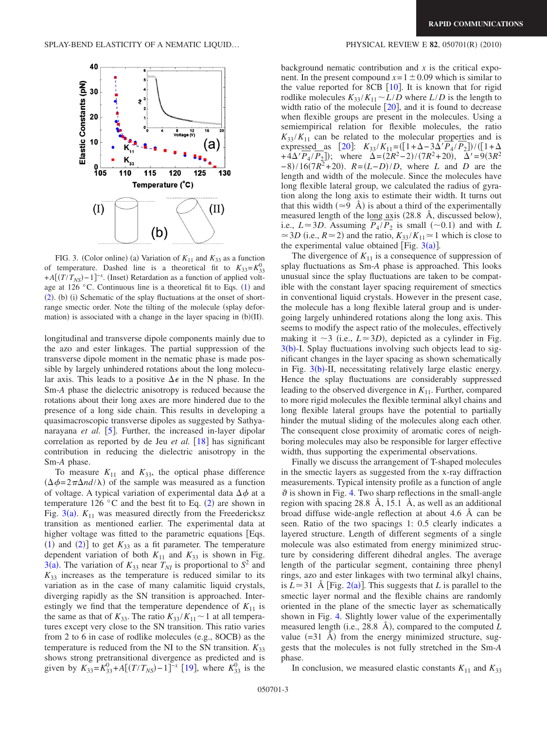<span id="page-2-0"></span>

FIG. 3. (Color online) (a) Variation of  $K_{11}$  and  $K_{33}$  as a function of temperature. Dashed line is a theoretical fit to  $K_{33} = K_{33}^0$  $+A[(T/T_{NS})-1]^{-x}$ . (Inset) Retardation as a function of applied volt-age at [1](#page-1-2)26 °C. Continuous line is a theoretical fit to Eqs.  $(1)$  and ([2](#page-1-1)). (b) (i) Schematic of the splay fluctuations at the onset of shortrange smectic order. Note the tilting of the molecule (splay deformation) is associated with a change in the layer spacing in  $(b)(II)$ .

longitudinal and transverse dipole components mainly due to the azo and ester linkages. The partial suppression of the transverse dipole moment in the nematic phase is made possible by largely unhindered rotations about the long molecular axis. This leads to a positive  $\Delta \epsilon$  in the N phase. In the Sm-*A* phase the dielectric anisotropy is reduced because the rotations about their long axes are more hindered due to the presence of a long side chain. This results in developing a quasimacroscopic transverse dipoles as suggested by Sathyanarayana *et al.* [[5](#page-3-3)]. Further, the increased in-layer dipolar correlation as reported by de Jeu *et al.* [[18](#page-3-16)] has significant contribution in reducing the dielectric anisotropy in the Sm-*A* phase.

To measure  $K_{11}$  and  $K_{33}$ , the optical phase difference  $(\Delta \phi = 2\pi \Delta nd/\lambda)$  of the sample was measured as a function of voltage. A typical variation of experimental data  $\Delta \phi$  at a temperature 1[2](#page-1-1)6  $\degree$ C and the best fit to Eq. (2) are shown in Fig.  $3(a)$  $3(a)$ .  $K_{11}$  was measured directly from the Freedericksz transition as mentioned earlier. The experimental data at higher voltage was fitted to the parametric equations [Eqs.  $(1)$  $(1)$  $(1)$  and  $(2)$  $(2)$  $(2)$ ] to get  $K_{33}$  as a fit parameter. The temperature dependent variation of both  $K_{11}$  and  $K_{33}$  is shown in Fig. [3](#page-2-0)(a). The variation of  $K_{33}$  near  $T_{NI}$  is proportional to  $S^2$  and  $K_{33}$  increases as the temperature is reduced similar to its variation as in the case of many calamitic liquid crystals, diverging rapidly as the SN transition is approached. Interestingly we find that the temperature dependence of  $K_{11}$  is the same as that of  $K_{33}$ . The ratio  $K_{33}/K_{11} \sim 1$  at all temperatures except very close to the SN transition. This ratio varies from 2 to 6 in case of rodlike molecules (e.g., 8OCB) as the temperature is reduced from the NI to the SN transition.  $K_{33}$ shows strong pretransitional divergence as predicted and is given by  $K_{33} = K_{33}^0 + A[(T/T_{NS}) - 1]^{-x}$  [[19](#page-3-17)], where  $K_{33}^0$  is the

## $(2010)$

background nematic contribution and  $x$  is the critical exponent. In the present compound  $x=1\pm0.09$  which is similar to the value reported for 8CB  $\lceil 10 \rceil$  $\lceil 10 \rceil$  $\lceil 10 \rceil$ . It is known that for rigid rodlike molecules  $K_{33}/K_{11} \sim L/D$  where  $L/D$  is the length to width ratio of the molecule  $\lceil 20 \rceil$  $\lceil 20 \rceil$  $\lceil 20 \rceil$ , and it is found to decrease when flexible groups are present in the molecules. Using a semiempirical relation for flexible molecules, the ratio  $K_{33}/K_{11}$  can be related to the molecular properties and is expressed as  $[20]$  $[20]$  $[20]$ :  $K_{33}/K_{11} = ([1 + \Delta - 3\Delta' P_4 / P_2]) / ([1 + \Delta$  $+4\Delta' P_4 / P_2$ ); where  $\Delta = (2R^2 - 2) / (7R^2 + 20)$ ,  $\Delta' = 9(3R^2)$  $-8$ /16(7*R*<sup>2</sup>+20). *R*=(*L*−*D*)/*D*, where *L* and *D* are the length and width of the molecule. Since the molecules have long flexible lateral group, we calculated the radius of gyration along the long axis to estimate their width. It turns out that this width  $(\simeq 9 \text{ Å})$  is about a third of the experimentally measured length of the long  $\overline{ax}$  is (28.8 Å, discussed below), i.e.,  $L \approx 3D$ . Assuming  $P_4 / P_2$  is small (~0.1) and with *L*  $\approx$  3*D* (i.e.,  $R \approx$  2) and the ratio,  $K_{33}/K_{11} \approx 1$  which is close to the experimental value obtained [Fig.  $3(a)$  $3(a)$ ].

The divergence of  $K_{11}$  is a consequence of suppression of splay fluctuations as Sm-*A* phase is approached. This looks unusual since the splay fluctuations are taken to be compatible with the constant layer spacing requirement of smectics in conventional liquid crystals. However in the present case, the molecule has a long flexible lateral group and is undergoing largely unhindered rotations along the long axis. This seems to modify the aspect ratio of the molecules, effectively making it  $\sim$ 3 (i.e.,  $L \approx$ 3*D*), depicted as a cylinder in Fig.  $3(b)$  $3(b)$ -I. Splay fluctuations involving such objects lead to significant changes in the layer spacing as shown schematically in Fig.  $3(b)$  $3(b)$ -II, necessitating relatively large elastic energy. Hence the splay fluctuations are considerably suppressed leading to the observed divergence in  $K_{11}$ . Further, compared to more rigid molecules the flexible terminal alkyl chains and long flexible lateral groups have the potential to partially hinder the mutual sliding of the molecules along each other. The consequent close proximity of aromatic cores of neighboring molecules may also be responsible for larger effective width, thus supporting the experimental observations.

Finally we discuss the arrangement of T-shaped molecules in the smectic layers as suggested from the x-ray diffraction measurements. Typical intensity profile as a function of angle  $\vartheta$  is shown in Fig. [4.](#page-3-19) Two sharp reflections in the small-angle region with spacing 28.8 Å, 15.1 Å, as well as an additional broad diffuse wide-angle reflection at about 4.6 Å can be seen. Ratio of the two spacings 1: 0.5 clearly indicates a layered structure. Length of different segments of a single molecule was also estimated from energy minimized structure by considering different dihedral angles. The average length of the particular segment, containing three phenyl rings, azo and ester linkages with two terminal alkyl chains, is  $L \approx 31$  Å [Fig. [2](#page-1-0)(a)]. This suggests that *L* is parallel to the smectic layer normal and the flexible chains are randomly oriented in the plane of the smectic layer as schematically shown in Fig. [4.](#page-3-19) Slightly lower value of the experimentally measured length (i.e., 28.8 Å), compared to the computed *L* value  $(=31 \text{ Å})$  from the energy minimized structure, suggests that the molecules is not fully stretched in the Sm-*A* phase.

In conclusion, we measured elastic constants  $K_{11}$  and  $K_{33}$